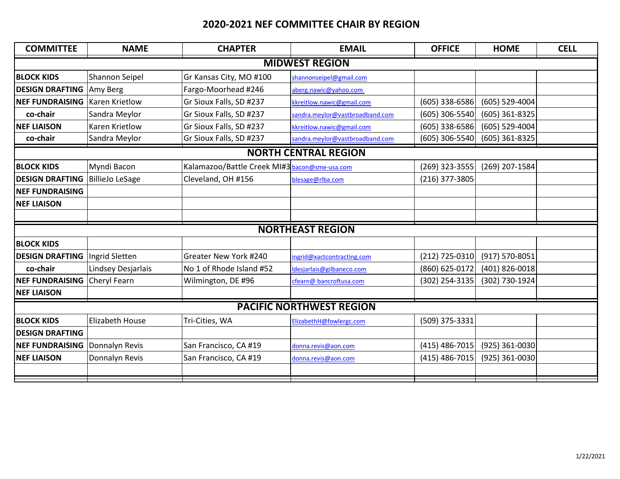## **2020-2021 NEF COMMITTEE CHAIR BY REGION**

| <b>COMMITTEE</b>                | <b>NAME</b>            | <b>CHAPTER</b>                                | <b>EMAIL</b>                    | <b>OFFICE</b>  | <b>HOME</b>    | <b>CELL</b> |  |  |  |  |  |
|---------------------------------|------------------------|-----------------------------------------------|---------------------------------|----------------|----------------|-------------|--|--|--|--|--|
| <b>MIDWEST REGION</b>           |                        |                                               |                                 |                |                |             |  |  |  |  |  |
| <b>BLOCK KIDS</b>               | Shannon Seipel         | Gr Kansas City, MO #100                       | shannonseipel@gmail.com         |                |                |             |  |  |  |  |  |
| <b>DESIGN DRAFTING</b>          | Amy Berg               | Fargo-Moorhead #246                           | aberg.nawic@yahoo.com           |                |                |             |  |  |  |  |  |
| <b>NEF FUNDRAISING</b>          | <b>Karen Krietlow</b>  | Gr Sioux Falls, SD #237                       | kkreitlow.nawic@gmail.com       | (605) 338-6586 | (605) 529-4004 |             |  |  |  |  |  |
| co-chair                        | Sandra Meylor          | Gr Sioux Falls, SD #237                       | sandra.meylor@vastbroadband.com | (605) 306-5540 | (605) 361-8325 |             |  |  |  |  |  |
| <b>NEF LIAISON</b>              | <b>Karen Krietlow</b>  | Gr Sioux Falls, SD #237                       | kkreitlow.nawic@gmail.com       | (605) 338-6586 | (605) 529-4004 |             |  |  |  |  |  |
| co-chair                        | Sandra Meylor          | Gr Sioux Falls, SD #237                       | sandra.meylor@vastbroadband.com | (605) 306-5540 | (605) 361-8325 |             |  |  |  |  |  |
| <b>NORTH CENTRAL REGION</b>     |                        |                                               |                                 |                |                |             |  |  |  |  |  |
| <b>BLOCK KIDS</b>               | Myndi Bacon            | Kalamazoo/Battle Creek MI#3 bacon@sme-usa.com |                                 | (269) 323-3555 | (269) 207-1584 |             |  |  |  |  |  |
| <b>DESIGN DRAFTING</b>          | <b>BillieJo LeSage</b> | Cleveland, OH #156                            | blesage@rlba.com                | (216) 377-3805 |                |             |  |  |  |  |  |
| <b>NEF FUNDRAISING</b>          |                        |                                               |                                 |                |                |             |  |  |  |  |  |
| <b>NEF LIAISON</b>              |                        |                                               |                                 |                |                |             |  |  |  |  |  |
|                                 |                        |                                               |                                 |                |                |             |  |  |  |  |  |
| <b>NORTHEAST REGION</b>         |                        |                                               |                                 |                |                |             |  |  |  |  |  |
| <b>BLOCK KIDS</b>               |                        |                                               |                                 |                |                |             |  |  |  |  |  |
| <b>DESIGN DRAFTING</b>          | Ingrid Sletten         | Greater New York #240                         | ingrid@xactcontracting.com      | (212) 725-0310 | (917) 570-8051 |             |  |  |  |  |  |
| co-chair                        | Lindsey Desjarlais     | No 1 of Rhode Island #52                      | Idesjarlais@gilbaneco.com       | (860) 625-0172 | (401) 826-0018 |             |  |  |  |  |  |
| <b>NEF FUNDRAISING</b>          | Cheryl Fearn           | Wilmington, DE #96                            | cfearn@ bancroftusa.com         | (302) 254-3135 | (302) 730-1924 |             |  |  |  |  |  |
| <b>NEF LIAISON</b>              |                        |                                               |                                 |                |                |             |  |  |  |  |  |
| <b>PACIFIC NORTHWEST REGION</b> |                        |                                               |                                 |                |                |             |  |  |  |  |  |
| <b>BLOCK KIDS</b>               | <b>Elizabeth House</b> | Tri-Cities, WA                                | ElizabethH@fowlergc.com         | (509) 375-3331 |                |             |  |  |  |  |  |
| <b>DESIGN DRAFTING</b>          |                        |                                               |                                 |                |                |             |  |  |  |  |  |
| <b>NEF FUNDRAISING</b>          | Donnalyn Revis         | San Francisco, CA #19                         | donna.revis@aon.com             | (415) 486-7015 | (925) 361-0030 |             |  |  |  |  |  |
| <b>NEF LIAISON</b>              | Donnalyn Revis         | San Francisco, CA #19                         | donna.revis@aon.com             | (415) 486-7015 | (925) 361-0030 |             |  |  |  |  |  |
|                                 |                        |                                               |                                 |                |                |             |  |  |  |  |  |
|                                 |                        |                                               |                                 |                |                |             |  |  |  |  |  |